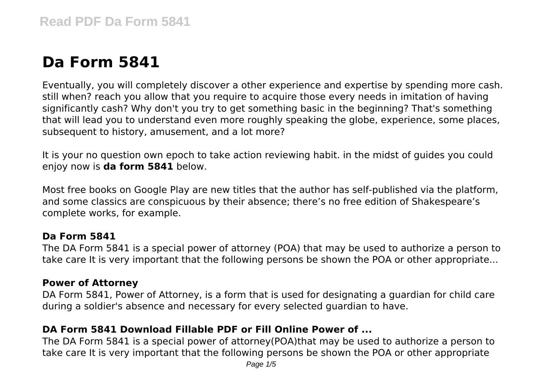# **Da Form 5841**

Eventually, you will completely discover a other experience and expertise by spending more cash. still when? reach you allow that you require to acquire those every needs in imitation of having significantly cash? Why don't you try to get something basic in the beginning? That's something that will lead you to understand even more roughly speaking the globe, experience, some places, subsequent to history, amusement, and a lot more?

It is your no question own epoch to take action reviewing habit. in the midst of guides you could enjoy now is **da form 5841** below.

Most free books on Google Play are new titles that the author has self-published via the platform, and some classics are conspicuous by their absence; there's no free edition of Shakespeare's complete works, for example.

#### **Da Form 5841**

The DA Form 5841 is a special power of attorney (POA) that may be used to authorize a person to take care It is very important that the following persons be shown the POA or other appropriate...

#### **Power of Attorney**

DA Form 5841, Power of Attorney, is a form that is used for designating a guardian for child care during a soldier's absence and necessary for every selected guardian to have.

# **DA Form 5841 Download Fillable PDF or Fill Online Power of ...**

The DA Form 5841 is a special power of attorney(POA)that may be used to authorize a person to take care It is very important that the following persons be shown the POA or other appropriate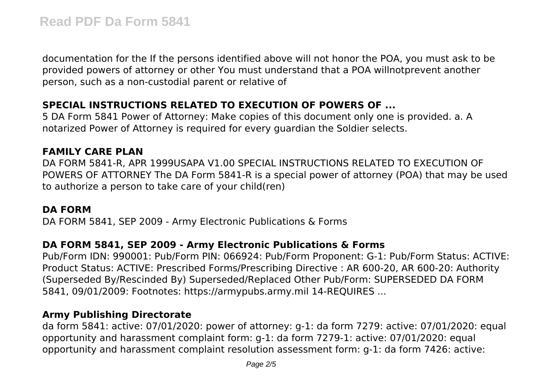documentation for the If the persons identified above will not honor the POA, you must ask to be provided powers of attorney or other You must understand that a POA willnotprevent another person, such as a non-custodial parent or relative of

## **SPECIAL INSTRUCTIONS RELATED TO EXECUTION OF POWERS OF ...**

5 DA Form 5841 Power of Attorney: Make copies of this document only one is provided. a. A notarized Power of Attorney is required for every guardian the Soldier selects.

## **FAMILY CARE PLAN**

DA FORM 5841-R, APR 1999USAPA V1.00 SPECIAL INSTRUCTIONS RELATED TO EXECUTION OF POWERS OF ATTORNEY The DA Form 5841-R is a special power of attorney (POA) that may be used to authorize a person to take care of your child(ren)

#### **DA FORM**

DA FORM 5841, SEP 2009 - Army Electronic Publications & Forms

#### **DA FORM 5841, SEP 2009 - Army Electronic Publications & Forms**

Pub/Form IDN: 990001: Pub/Form PIN: 066924: Pub/Form Proponent: G-1: Pub/Form Status: ACTIVE: Product Status: ACTIVE: Prescribed Forms/Prescribing Directive : AR 600-20, AR 600-20: Authority (Superseded By/Rescinded By) Superseded/Replaced Other Pub/Form: SUPERSEDED DA FORM 5841, 09/01/2009: Footnotes: https://armypubs.army.mil 14-REQUIRES ...

#### **Army Publishing Directorate**

da form 5841: active: 07/01/2020: power of attorney: g-1: da form 7279: active: 07/01/2020: equal opportunity and harassment complaint form: g-1: da form 7279-1: active: 07/01/2020: equal opportunity and harassment complaint resolution assessment form: g-1: da form 7426: active: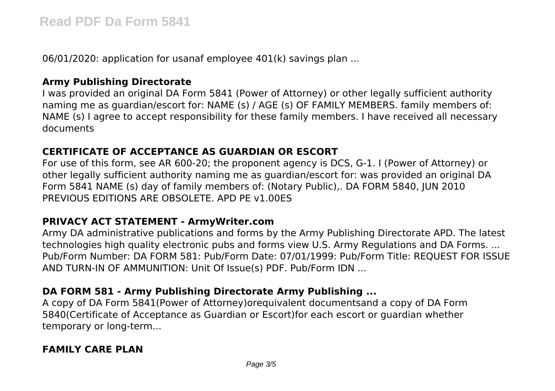06/01/2020: application for usanaf employee 401(k) savings plan ...

#### **Army Publishing Directorate**

I was provided an original DA Form 5841 (Power of Attorney) or other legally sufficient authority naming me as guardian/escort for: NAME (s) / AGE (s) OF FAMILY MEMBERS. family members of: NAME (s) I agree to accept responsibility for these family members. I have received all necessary documents

## **CERTIFICATE OF ACCEPTANCE AS GUARDIAN OR ESCORT**

For use of this form, see AR 600-20; the proponent agency is DCS, G-1. I (Power of Attorney) or other legally sufficient authority naming me as guardian/escort for: was provided an original DA Form 5841 NAME (s) day of family members of: (Notary Public),. DA FORM 5840, JUN 2010 PREVIOUS EDITIONS ARE OBSOLETE. APD PE v1.00ES

#### **PRIVACY ACT STATEMENT - ArmyWriter.com**

Army DA administrative publications and forms by the Army Publishing Directorate APD. The latest technologies high quality electronic pubs and forms view U.S. Army Regulations and DA Forms. ... Pub/Form Number: DA FORM 581: Pub/Form Date: 07/01/1999: Pub/Form Title: REQUEST FOR ISSUE AND TURN-IN OF AMMUNITION: Unit Of Issue(s) PDF. Pub/Form IDN ...

#### **DA FORM 581 - Army Publishing Directorate Army Publishing ...**

A copy of DA Form 5841(Power of Attorney)orequivalent documentsand a copy of DA Form 5840(Certificate of Acceptance as Guardian or Escort)for each escort or guardian whether temporary or long-term...

## **FAMILY CARE PLAN**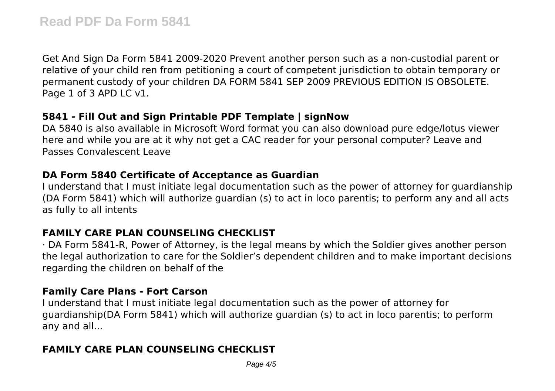Get And Sign Da Form 5841 2009-2020 Prevent another person such as a non-custodial parent or relative of your child ren from petitioning a court of competent jurisdiction to obtain temporary or permanent custody of your children DA FORM 5841 SEP 2009 PREVIOUS EDITION IS OBSOLETE. Page 1 of 3 APD LC v1.

#### **5841 - Fill Out and Sign Printable PDF Template | signNow**

DA 5840 is also available in Microsoft Word format you can also download pure edge/lotus viewer here and while you are at it why not get a CAC reader for your personal computer? Leave and Passes Convalescent Leave

#### **DA Form 5840 Certificate of Acceptance as Guardian**

I understand that I must initiate legal documentation such as the power of attorney for guardianship (DA Form 5841) which will authorize guardian (s) to act in loco parentis; to perform any and all acts as fully to all intents

## **FAMILY CARE PLAN COUNSELING CHECKLIST**

· DA Form 5841-R, Power of Attorney, is the legal means by which the Soldier gives another person the legal authorization to care for the Soldier's dependent children and to make important decisions regarding the children on behalf of the

#### **Family Care Plans - Fort Carson**

I understand that I must initiate legal documentation such as the power of attorney for guardianship(DA Form 5841) which will authorize guardian (s) to act in loco parentis; to perform any and all...

# **FAMILY CARE PLAN COUNSELING CHECKLIST**